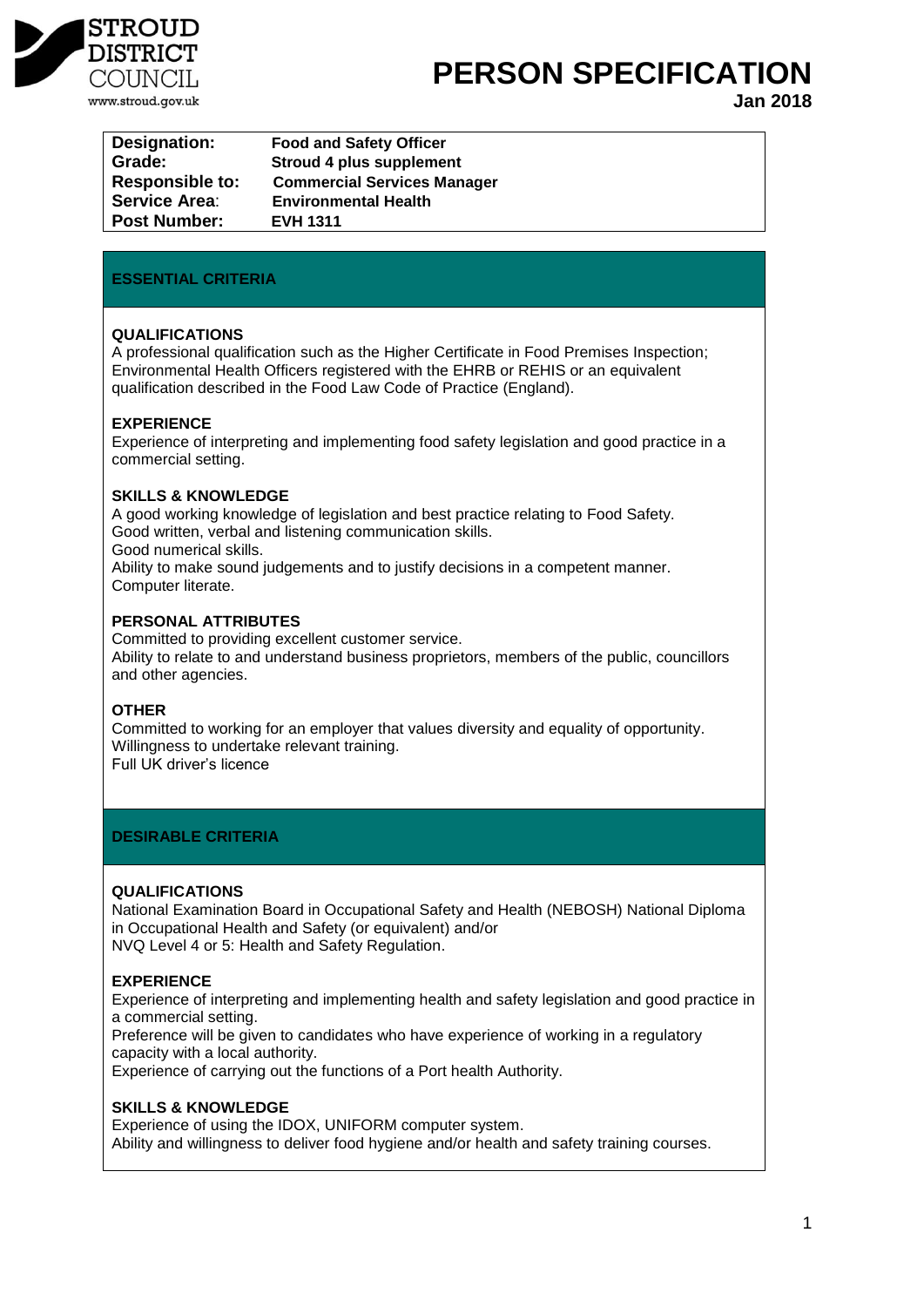

**PERSON SPECIFICATION** 

**Jan 2018**

| <b>Designation:</b>    | <b>Food and Safety Officer</b>     |
|------------------------|------------------------------------|
| Grade:                 | Stroud 4 plus supplement           |
| <b>Responsible to:</b> | <b>Commercial Services Manager</b> |
| <b>Service Area:</b>   | <b>Environmental Health</b>        |
| <b>Post Number:</b>    | <b>EVH 1311</b>                    |

# **ESSENTIAL CRITERIA**

## **QUALIFICATIONS**

A professional qualification such as the Higher Certificate in Food Premises Inspection; Environmental Health Officers registered with the EHRB or REHIS or an equivalent qualification described in the Food Law Code of Practice (England).

## **EXPERIENCE**

Experience of interpreting and implementing food safety legislation and good practice in a commercial setting.

#### **SKILLS & KNOWLEDGE**

A good working knowledge of legislation and best practice relating to Food Safety. Good written, verbal and listening communication skills. Good numerical skills. Ability to make sound judgements and to justify decisions in a competent manner.

Computer literate.

# **PERSONAL ATTRIBUTES**

Committed to providing excellent customer service. Ability to relate to and understand business proprietors, members of the public, councillors and other agencies.

#### **OTHER**

Committed to working for an employer that values diversity and equality of opportunity. Willingness to undertake relevant training. Full UK driver's licence

# **DESIRABLE CRITERIA**

### **QUALIFICATIONS**

National Examination Board in Occupational Safety and Health (NEBOSH) National Diploma in Occupational Health and Safety (or equivalent) and/or NVQ Level 4 or 5: Health and Safety Regulation.

# **EXPERIENCE**

Experience of interpreting and implementing health and safety legislation and good practice in a commercial setting.

Preference will be given to candidates who have experience of working in a regulatory capacity with a local authority.

Experience of carrying out the functions of a Port health Authority.

#### **SKILLS & KNOWLEDGE**

Experience of using the IDOX, UNIFORM computer system. Ability and willingness to deliver food hygiene and/or health and safety training courses.